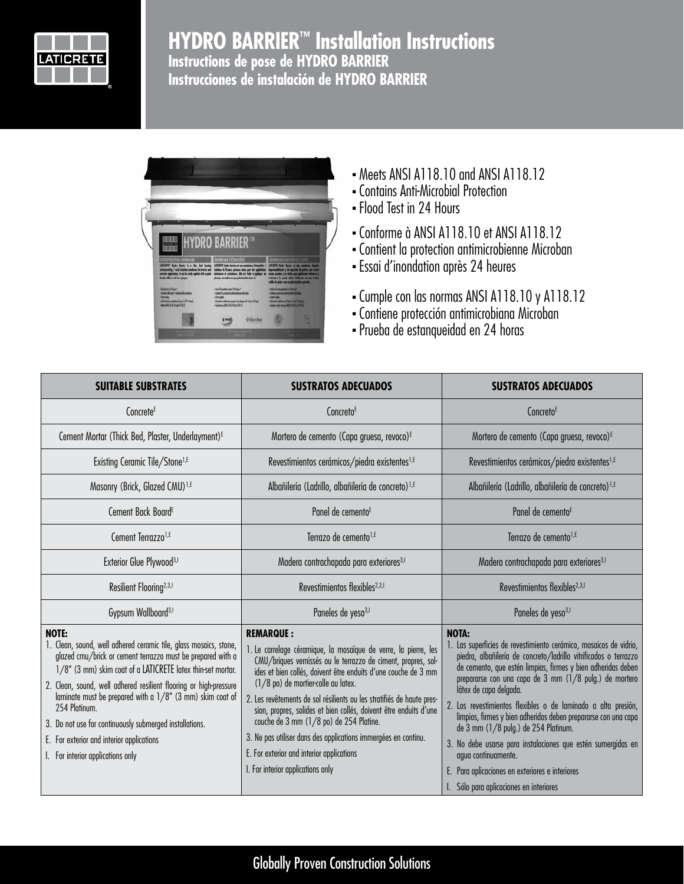

# **HYDRO BARRIER™ Installation Instructions Instructions de pose de HYDRO BARRIER Instrucciones de instalación de HYDRO BARRIER**



- Meets ANSI A118.10 and ANSI A118.12
- <sup>n</sup> Contains Anti-Microbial Protection
- Flood Test in 24 Hours
- <sup>n</sup> Conforme à ANSI A118.10 et ANSI A118.12
- <sup>n</sup> Contient la protection antimicrobienne Microban
- <sup>n</sup> Essai d'inondation après 24 heures
- <sup>n</sup> Cumple con las normas ANSI A118.10 y A118.12
- <sup>n</sup> Contiene protección antimicrobiana Microban
- <sup>n</sup> Prueba de estanqueidad en 24 horas

| <b>SUITABLE SUBSTRATES</b>                                                                                                                                                                                                                                                                                                                                                                                                                                                                                      | <b>SUSTRATOS ADECUADOS</b>                                                                                                                                                                                                                                                                                                                                                                                                                                                                                                                                                                                 | <b>SUSTRATOS ADECUADOS</b>                                                                                                                                                                                                                                                                                                                                                                                                                                                                                                                                                                                                                                                |
|-----------------------------------------------------------------------------------------------------------------------------------------------------------------------------------------------------------------------------------------------------------------------------------------------------------------------------------------------------------------------------------------------------------------------------------------------------------------------------------------------------------------|------------------------------------------------------------------------------------------------------------------------------------------------------------------------------------------------------------------------------------------------------------------------------------------------------------------------------------------------------------------------------------------------------------------------------------------------------------------------------------------------------------------------------------------------------------------------------------------------------------|---------------------------------------------------------------------------------------------------------------------------------------------------------------------------------------------------------------------------------------------------------------------------------------------------------------------------------------------------------------------------------------------------------------------------------------------------------------------------------------------------------------------------------------------------------------------------------------------------------------------------------------------------------------------------|
| Concrete <sup>E</sup>                                                                                                                                                                                                                                                                                                                                                                                                                                                                                           | Concreto <sup>E</sup>                                                                                                                                                                                                                                                                                                                                                                                                                                                                                                                                                                                      | Concreto <sup>E</sup>                                                                                                                                                                                                                                                                                                                                                                                                                                                                                                                                                                                                                                                     |
| Cement Mortar (Thick Bed, Plaster, Underlayment) <sup>E</sup>                                                                                                                                                                                                                                                                                                                                                                                                                                                   | Mortero de cemento (Capa gruesa, revoco) <sup>E</sup>                                                                                                                                                                                                                                                                                                                                                                                                                                                                                                                                                      | Mortero de cemento (Capa gruesa, revoco) <sup>E</sup>                                                                                                                                                                                                                                                                                                                                                                                                                                                                                                                                                                                                                     |
| Existing Ceramic Tile/Stone <sup>1,E</sup>                                                                                                                                                                                                                                                                                                                                                                                                                                                                      | Revestimientos cerámicos/piedra existentes <sup>1, E</sup>                                                                                                                                                                                                                                                                                                                                                                                                                                                                                                                                                 | Revestimientos cerámicos/piedra existentes <sup>1,E</sup>                                                                                                                                                                                                                                                                                                                                                                                                                                                                                                                                                                                                                 |
| Masonry (Brick, Glazed CMU) <sup>1,E</sup>                                                                                                                                                                                                                                                                                                                                                                                                                                                                      | Albañilería (Ladrillo, albañilería de concreto) <sup>1,E</sup>                                                                                                                                                                                                                                                                                                                                                                                                                                                                                                                                             | Albañilería (Ladrillo, albañilería de concreto) <sup>1,E</sup>                                                                                                                                                                                                                                                                                                                                                                                                                                                                                                                                                                                                            |
| Cement Back Board <sup>E</sup>                                                                                                                                                                                                                                                                                                                                                                                                                                                                                  | Panel de cemento <sup>E</sup>                                                                                                                                                                                                                                                                                                                                                                                                                                                                                                                                                                              | Panel de cemento <sup>E</sup>                                                                                                                                                                                                                                                                                                                                                                                                                                                                                                                                                                                                                                             |
| Cement Terrazzo <sup>1,E</sup>                                                                                                                                                                                                                                                                                                                                                                                                                                                                                  | Terrazo de cemento <sup>1,E</sup>                                                                                                                                                                                                                                                                                                                                                                                                                                                                                                                                                                          | Terrazo de cemento <sup>1,E</sup>                                                                                                                                                                                                                                                                                                                                                                                                                                                                                                                                                                                                                                         |
| Exterior Glue Plywood <sup>3,1</sup>                                                                                                                                                                                                                                                                                                                                                                                                                                                                            | Madera contrachapada para exteriores <sup>3,1</sup>                                                                                                                                                                                                                                                                                                                                                                                                                                                                                                                                                        | Madera contrachapada para exteriores <sup>3,1</sup>                                                                                                                                                                                                                                                                                                                                                                                                                                                                                                                                                                                                                       |
| Resilient Flooring <sup>2,3,1</sup>                                                                                                                                                                                                                                                                                                                                                                                                                                                                             | Revestimientos flexibles <sup>2,3,1</sup>                                                                                                                                                                                                                                                                                                                                                                                                                                                                                                                                                                  | Revestimientos flexibles <sup>2,3,1</sup>                                                                                                                                                                                                                                                                                                                                                                                                                                                                                                                                                                                                                                 |
| Gypsum Wallboard <sup>3,1</sup>                                                                                                                                                                                                                                                                                                                                                                                                                                                                                 | Paneles de yeso <sup>3,1</sup>                                                                                                                                                                                                                                                                                                                                                                                                                                                                                                                                                                             | Paneles de yeso <sup>3,1</sup>                                                                                                                                                                                                                                                                                                                                                                                                                                                                                                                                                                                                                                            |
| <b>NOTE:</b><br>1. Clean, sound, well adhered ceramic tile, glass mosaics, stone,<br>glazed cmu/brick or cement terrazzo must be prepared with a<br>1/8" (3 mm) skim coat of a LATICRETE latex thin-set mortar.<br>2. Clean, sound, well adhered resilient flooring or high-pressure<br>laminate must be prepared with a 1/8" (3 mm) skim coat of<br>254 Platinum.<br>3. Do not use for continuously submerged installations.<br>E. For exterior and interior applications<br>I. For interior applications only | <b>REMARQUE:</b><br>1. Le carrelage céramique, la mosaïque de verre, la pierre, les<br>CMU/briques vernissés ou le terrazzo de ciment, propres, sol-<br>ides et bien collés, doivent être enduits d'une couche de 3 mm<br>(1/8 po) de mortier-colle au latex.<br>2. Les revêtements de sol résilients ou les stratifiés de haute pres-<br>sion, propres, solides et bien collés, doivent être enduits d'une<br>couche de 3 mm (1/8 po) de 254 Platine.<br>3. Ne pas utiliser dans des applications immergées en continu.<br>E. For exterior and interior applications<br>I. For interior applications only | <b>NOTA:</b><br>1. Las superficies de revestimiento cerámico, mosaicos de vidrio,<br>piedra, albañilería de concreto/ladrillo vitrificados o terrazzo<br>de cemento, que estén limpias, firmes y bien adheridas deben<br>prepararse con una capa de 3 mm (1/8 pulg.) de mortero<br>látex de capa delgada.<br>2. Los revestimientos flexibles o de laminado a alta presión,<br>limpios, firmes y bien adheridos deben prepararse con una capa<br>de 3 mm (1/8 pulg.) de 254 Platinum.<br>3. No debe usarse para instalaciones que estén sumergidas en<br>agua continuamente.<br>E. Para aplicaciones en exteriores e interiores<br>I. Sólo para aplicaciones en interiores |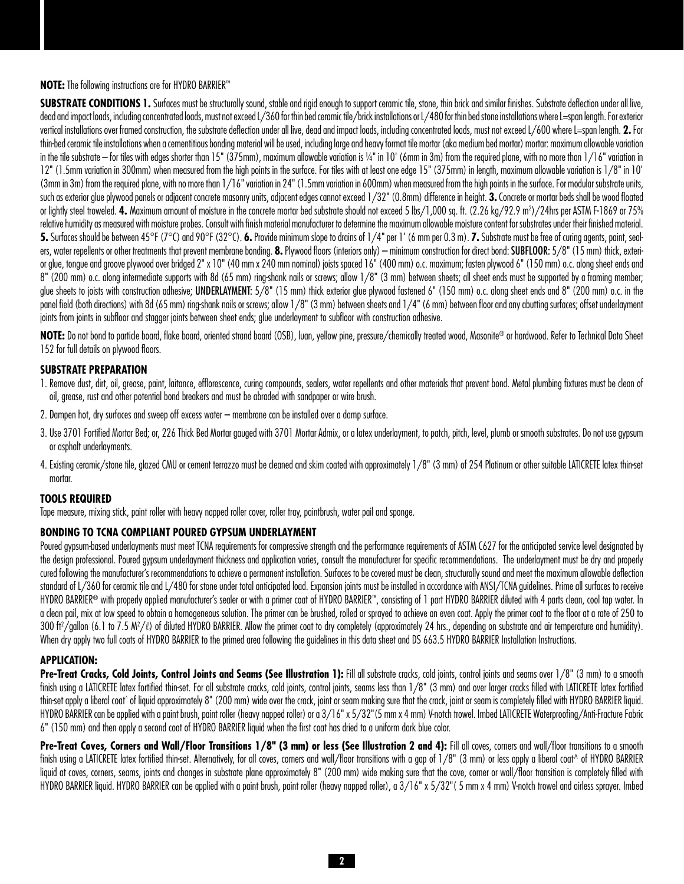## **NOTE:** The following instructions are for HYDRO BARRIER™

**SUBSTRATE CONDITIONS 1.** Surfaces must be structurally sound, stable and rigid enough to support ceramic tile, stone, thin brick and similar finishes. Substrate deflection under all live, dead and impact loads, including concentrated loads, must not exceed L/360 for thin bed ceramic tile/brick installations or L/480 for thin bed stone installations where L=span length. For exterior vertical installations over framed construction, the substrate deflection under all live, dead and impact loads, including concentrated loads, must not exceed L/600 where L=span length. **2.** For thin-bed ceramic tile installations when a cementitious bonding material will be used, including large and heavy format tile mortar (aka medium bed mortar) mortar: maximum allowable variation in the tile substrate – for tiles with edges shorter than 15" (375mm), maximum allowable variation is ¼" in 10' (6mm in 3m) from the required plane, with no more than 1/16" variation in 12" (1.5mm variation in 300mm) when measured from the high points in the surface. For tiles with at least one edge 15" (375mm) in length, maximum allowable variation is 1/8" in 10' (3mm in 3m) from the required plane, with no more than 1/16" variation in 24" (1.5mm variation in 600mm) when measured from the high points in the surface. For modular substrate units, such as exterior glue plywood panels or adjacent concrete masonry units, adjacent edges cannot exceed 1/32" (0.8mm) difference in height. **3.** Concrete or mortar beds shall be wood floated or lightly steel troweled. 4. Maximum amount of moisture in the concrete mortar bed substrate should not exceed 5 lbs/1,000 sq. ft. (2.26 kg/92.9 m²)/24hrs per ASTM F-1869 or 75% relative humidity as measured with moisture probes. Consult with finish material manufacturer to determine the maximum allowable moisture content for substrates under their finished material. **5.** Surfaces should be between 45°F (7°C) and 90°F (32°C). **6.** Provide minimum slope to drains of 1/4" per 1' (6 mm per 0.3 m). **7.** Substrate must be free of curing agents, paint, sealers, water repellents or other treatments that prevent membrane bonding. 8. Plywood floors (interiors only) – minimum construction for direct bond: SUBFLOOR: 5/8" (15 mm) thick, exterior glue, tongue and groove plywood over bridged 2" x 10" (40 mm x 240 mm nominal) joists spaced 16" (400 mm) o.c. maximum; fasten plywood 6" (150 mm) o.c. along sheet ends and 8" (200 mm) o.c. along intermediate supports with 8d (65 mm) ring-shank nails or screws; allow 1/8" (3 mm) between sheets; all sheet ends must be supported by a framing member; glue sheets to joists with construction adhesive; UNDERLAYMENT: 5/8" (15 mm) thick exterior glue plywood fastened 6" (150 mm) o.c. along sheet ends and 8" (200 mm) o.c. in the panel field (both directions) with 8d (65 mm) ring-shank nails or screws; allow 1/8" (3 mm) between sheets and 1/4" (6 mm) between floor and any abutting surfaces; offset underlayment joints from joints in subfloor and stagger joints between sheet ends; glue underlayment to subfloor with construction adhesive.

**Note:** Do not bond to particle board, flake board, oriented strand board (OSB), luan, yellow pine, pressure/chemically treated wood, Masonite® or hardwood. Refer to Technical Data Sheet 152 for full details on plywood floors.

## **SUBSTRATE PREPARATION**

- 1. Remove dust, dirt, oil, grease, paint, laitance, efflorescence, curing compounds, sealers, water repellents and other materials that prevent bond. Metal plumbing fixtures must be clean of oil, grease, rust and other potential bond breakers and must be abraded with sandpaper or wire brush.
- 2. Dampen hot, dry surfaces and sweep off excess water membrane can be installed over a damp surface.
- 3. Use 3701 Fortified Mortar Bed; or, 226 Thick Bed Mortar gauged with 3701 Mortar Admix, or a latex underlayment, to patch, pitch, level, plumb or smooth substrates. Do not use gypsum or asphalt underlayments.
- 4. Existing ceramic/stone tile, glazed CMU or cement terrazzo must be cleaned and skim coated with approximately 1/8" (3 mm) of 254 Platinum or other suitable LATICRETE latex thin-set mortar.

## **Tools Required**

Tape measure, mixing stick, paint roller with heavy napped roller cover, roller tray, paintbrush, water pail and sponge.

## **Bonding to TCNA Compliant Poured Gypsum Underlayment**

Poured gypsum-based underlayments must meet TCNA requirements for compressive strength and the performance requirements of ASTM C627 for the anticipated service level designated by the design professional. Poured gypsum underlayment thickness and application varies, consult the manufacturer for specific recommendations. The underlayment must be dry and properly cured following the manufacturer's recommendations to achieve a permanent installation. Surfaces to be covered must be clean, structurally sound and meet the maximum allowable deflection standard of L/360 for ceramic tile and L/480 for stone under total anticipated load. Expansion joints must be installed in accordance with ANSI/TCNA quidelines. Prime all surfaces to receive HYDRO BARRIER® with properly applied manufacturer's sealer or with a primer coat of HYDRO BARRIER™, consisting of 1 part HYDRO BARRIER diluted with 4 parts clean, cool tap water. In a clean pail, mix at low speed to obtain a homogeneous solution. The primer can be brushed, rolled or sprayed to achieve an even coat. Apply the primer coat to the floor at a rate of 250 to 300 ft<sup>2</sup>/gallon (6.1 to 7.5 M<sup>2</sup>/l) of diluted HYDRO BARRIER. Allow the primer coat to dry completely (approximately 24 hrs., depending on substrate and air temperature and humidity). When dry apply two full coats of HYDRO BARRIER to the primed area following the quidelines in this data sheet and DS 663.5 HYDRO BARRIER Installation Instructions.

## **APPLICATION:**

**Pre-Treat Cracks, Cold Joints, Control Joints and Seams (See Illustration 1): Fill all substrate cracks, cold joints, control joints and seams over 1/8" (3 mm) to a smooth** finish using a LATICRETE latex fortified thin-set. For all substrate cracks, cold joints, control joints, seams less than 1/8" (3 mm) and over larger cracks filled with LATICRETE latex fortified thin-set apply a liberal coat^ of liquid approximately 8" (200 mm) wide over the crack, joint or seam making sure that the crack, joint or seam is completely filled with HYDRO BARRIER liquid. HYDRO BARRIER can be applied with a paint brush, paint roller (heavy napped roller) or a  $3/16" \times 5/32" (5 mm \times 4 mm)$  V-notch trowel. Imbed LATICRETE Waterproofing/Anti-Fracture Fabric 6" (150 mm) and then apply a second coat of HYDRO BARRIER liquid when the first coat has dried to a uniform dark blue color.

Pre-Treat Coves, Corners and Wall/Floor Transitions 1/8" (3 mm) or less (See Illustration 2 and 4): Fill all coves, corners and wall/floor transitions to a smooth finish using a LATICRETE latex fortified thin-set. Alternatively, for all coves, corners and wall/floor transitions with a gap of 1/8" (3 mm) or less apply a liberal coat^ of HYDRO BARRIER liquid at coves, corners, seams, joints and changes in substrate plane approximately 8" (200 mm) wide making sure that the cove, corner or wall/floor transition is completely filled with HYDRO BARRIER liquid. HYDRO BARRIER can be applied with a paint brush, paint roller (heavy napped roller), a 3/16" x 5/32" (5 mm x 4 mm) V-notch trowel and airless sprayer. Imbed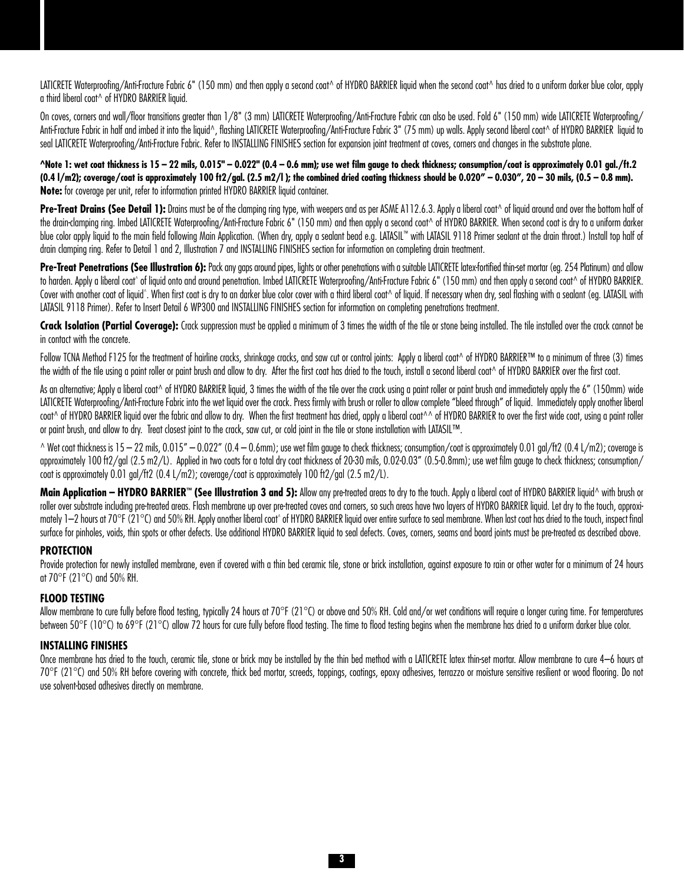LATICRETE Waterproofing/Anti-Fracture Fabric 6" (150 mm) and then apply a second coat^ of HYDRO BARRIER liquid when the second coat^ has dried to a uniform darker blue color, apply a third liberal coat^ of HYDRO BARRIER liquid.

On coves, corners and wall/floor transitions greater than 1/8" (3 mm) LATICRETE Waterproofing/Anti-Fracture Fabric can also be used. Fold 6" (150 mm) wide LATICRETE Waterproofing/ Anti-Fracture Fabric in half and imbed it into the liquid^, flashing LATICRETE Waterproofing/Anti-Fracture Fabric 3" (75 mm) up walls. Apply second liberal coat^ of HYDRO BARRIER liquid to seal LATICRETE Waterproofing/Anti-Fracture Fabric. Refer to INSTALLING FINISHES section for expansion joint treatment at coves, corners and changes in the substrate plane.

**^Note 1: wet coat thickness is 15 – 22 mils, 0.015" – 0.022" (0.4 – 0.6 mm); use wet film gauge to check thickness; consumption/coat is approximately 0.01 gal./ft.2**   $(0.4 \text{ J/m2})$ ; coverage/coat is approximately 100 ft2/gal.  $(2.5 \text{ m2/l})$ ; the combined dried coating thickness should be  $0.020'' - 0.030''$ ,  $20 - 30$  mils,  $(0.5 - 0.8 \text{ mm})$ . **Note:** for coverage per unit, refer to information printed HYDRO BARRIER liquid container.

Pre-Treat Drains (See Detail 1): Drains must be of the clamping ring type, with weepers and as per ASME A112.6.3. Apply a liberal coat^ of liquid around and over the bottom half of the drain-clamping ring. Imbed LATICRETE Waterproofing/Anti-Fracture Fabric 6" (150 mm) and then apply a second coat^ of HYDRO BARRIER. When second coat is dry to a uniform darker blue color apply liquid to the main field following Main Application. (When dry, apply a sealant bead e.g. LATASIL™ with LATASIL 9118 Primer sealant at the drain throat.) Install top half of drain clamping ring. Refer to Detail 1 and 2, Illustration 7 and INSTALLING FINISHES section for information on completing drain treatment.

Pre-Treat Penetrations (See Illustration 6): Pack any gaps around pipes, lights or other penetrations with a suitable LATICRETE latex-fortified thin-set mortar (eg. 254 Platinum) and allow to harden. Apply a liberal coat^ of liquid onto and around penetration. Imbed LATICRETE Waterproofing/Anti-Fracture Fabric 6" (150 mm) and then apply a second coat^ of HYDRO BARRIER. Cover with another coat of liquid^. When first coat is dry to an darker blue color cover with a third liberal coat^ of liquid. If necessary when dry, seal flashing with a sealant (eg. LATASIL with LATASIL 9118 Primer). Refer to Insert Detail 6 WP300 and INSTALLING FINISHES section for information on completing penetrations treatment.

Crack Isolation (Partial Coverage): Crack suppression must be applied a minimum of 3 times the width of the tile or stone being installed. The tile installed over the crack cannot be in contact with the concrete.

Follow TCNA Method F125 for the treatment of hairline cracks, shrinkage cracks, and saw cut or control joints: Apply a liberal coat^ of HYDRO BARRIER™ to a minimum of three (3) times the width of the tile using a paint roller or paint brush and allow to dry. After the first coat has dried to the touch, install a second liberal coat^ of HYDRO BARRIER over the first coat.

As an alternative; Apply a liberal coat^ of HYDRO BARRIER liquid, 3 times the width of the tile over the crack using a paint roller or paint brush and immediately apply the 6" (150mm) wide LATICRETE Waterproofing/Anti-Fracture Fabric into the wet liquid over the crack. Press firmly with brush or roller to allow complete "bleed through" of liquid. Immediately apply another liberal coat^ of HYDRO BARRIER liquid over the fabric and allow to dry. When the first treatment has dried, apply a liberal coat^^ of HYDRO BARRIER to over the first wide coat, using a paint roller or paint brush, and allow to dry. Treat closest joint to the crack, saw cut, or cold joint in the tile or stone installation with LATASIL™.

 $\land$  Wet coat thickness is  $15 - 22$  mils,  $0.015'' - 0.022''$  (0.4 – 0.6mm); use wet film gauge to check thickness; consumption/coat is approximately 0.01 gal/ft2 (0.4 L/m2); coverage is approximately 100 ft2/gal (2.5 m2/L). Applied in two coats for a total dry coat thickness of 20-30 mils, 0.02-0.03" (0.5-0.8mm); use wet film gauge to check thickness; consumption/ coat is approximately 0.01 gal/ft2 (0.4 L/m2); coverage/coat is approximately 100 ft2/gal (2.5 m2/L).

**Main Application – HYDRO BARRIER™ (See Illustration 3 and 5):** Allow any pre-treated areas to dry to the touch. Apply a liberal coat of HYDRO BARRIER liquid^ with brush or roller over substrate including pre-treated areas. Flash membrane up over pre-treated coves and corners, so such areas have two layers of HYDRO BARRIER liquid. Let dry to the touch, approximately 1—2 hours at 70°F (21°C) and 50% RH. Apply another liberal coat^ of HYDRO BARRIER liquid over entire surface to seal membrane. When last coat has dried to the touch, inspect final surface for pinholes, voids, thin spots or other defects. Use additional HYDRO BARRIER liquid to seal defects. Coves, corners, seams and board joints must be pre-treated as described above.

## **Protection**

Provide protection for newly installed membrane, even if covered with a thin bed ceramic tile, stone or brick installation, against exposure to rain or other water for a minimum of 24 hours at 70°F (21°C) and 50% RH.

## **Flood Testing**

Allow membrane to cure fully before flood testing, typically 24 hours at 70°F (21°C) or above and 50% RH. Cold and/or wet conditions will require a longer curing time. For temperatures between 50°F (10°C) to 69°F (21°C) allow 72 hours for cure fully before flood testing. The time to flood testing begins when the membrane has dried to a uniform darker blue color.

## **INSTALLING FINISHES**

Once membrane has dried to the touch, ceramic tile, stone or brick may be installed by the thin bed method with a LATICRETE latex thin-set mortar. Allow membrane to cure 4–6 hours at 70°F (21°C) and 50% RH before covering with concrete, thick bed mortar, screeds, toppings, coatings, epoxy adhesives, terrazzo or moisture sensitive resilient or wood flooring. Do not use solvent-based adhesives directly on membrane.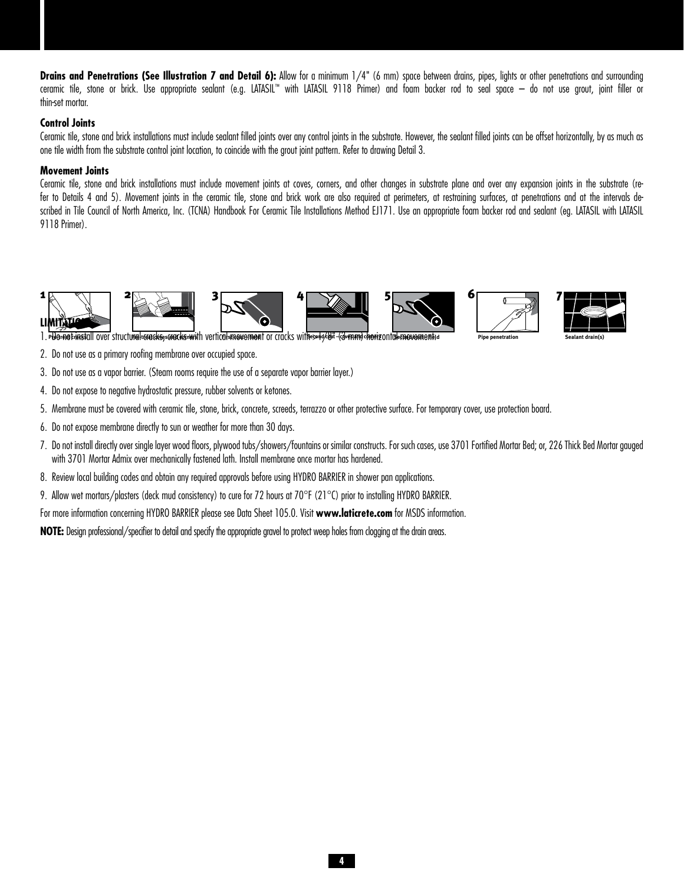Drains and Penetrations (See Illustration 7 and Detail 6): Allow for a minimum 1/4" (6 mm) space between drains, pipes, lights or other penetrations and surrounding ceramic tile, stone or brick. Use appropriate sealant (e.g. LATASIL™ with LATASIL 9118 Primer) and foam backer rod to seal space – do not use grout, joint filler or thin-set mortar.

## **Control Joints**

Ceramic tile, stone and brick installations must include sealant filled joints over any control joints in the substrate. However, the sealant filled joints can be offset horizontally, by as much as one tile width from the substrate control joint location, to coincide with the grout joint pattern. Refer to drawing Detail 3.

## **Movement Joints**

Ceramic tile, stone and brick installations must include movement joints at coves, corners, and other changes in substrate plane and over any expansion joints in the substrate (refer to Details 4 and 5). Movement joints in the ceramic tile, stone and brick work are also required at perimeters, at restraining surfaces, at penetrations and at the intervals described in Tile Council of North America, Inc. (TCNA) Handbook For Ceramic Tile Installations Method EJ171. Use an appropriate foam backer rod and sealant (eq. LATASIL with LATASIL 9118 Primer).



- 2. Do not use as a primary roofing membrane over occupied space.
- 3. Do not use as a vapor barrier. (Steam rooms require the use of a separate vapor barrier layer.)
- 4. Do not expose to negative hydrostatic pressure, rubber solvents or ketones.
- 5. Membrane must be covered with ceramic tile, stone, brick, concrete, screeds, terrazzo or other protective surface. For temporary cover, use protection board.
- 6. Do not expose membrane directly to sun or weather for more than 30 days.
- 7. Do not install directly over single layer wood floors, plywood tubs/showers/fountains or similar constructs. For such cases, use 3701 Fortified Mortar Bed; or, 226 Thick Bed Mortar gauged with 3701 Mortar Admix over mechanically fastened lath. Install membrane once mortar has hardened.
- 8. Review local building codes and obtain any required approvals before using HYDRO BARRIER in shower pan applications.
- 9. Allow wet mortars/plasters (deck mud consistency) to cure for 72 hours at 70°F (21°C) prior to installing HYDRO BARRIER.
- For more information concerning HYDRO BARRIER please see Data Sheet 105.0. Visit **www.laticrete.com** for MSDS information.

**NOTE:** Design professional/specifier to detail and specify the appropriate gravel to protect weep holes from clogging at the drain areas.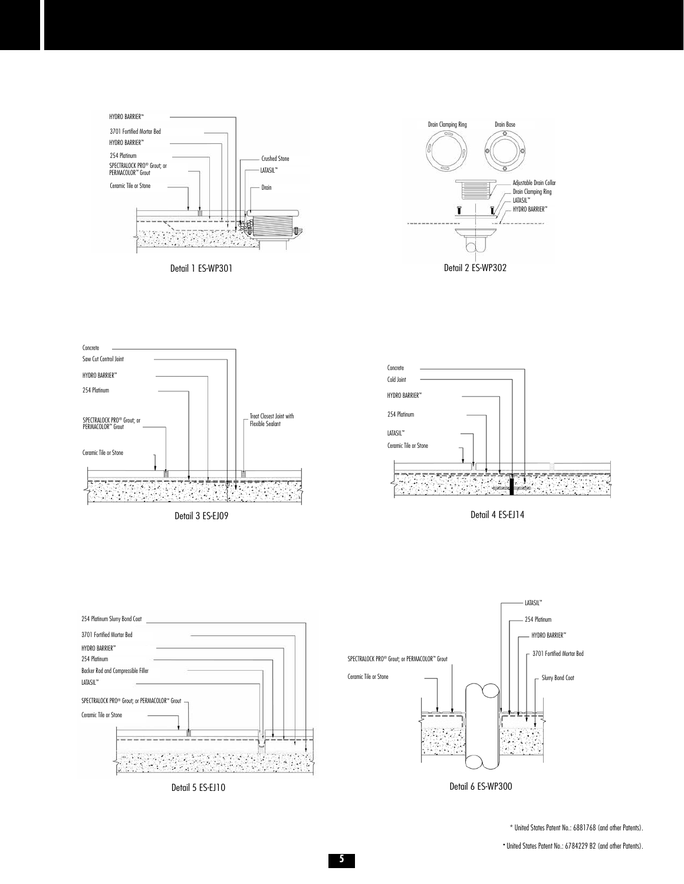













\* United States Patent No.: 6881768 (and other Patents).

• United States Patent No.: 6784229 B2 (and other Patents).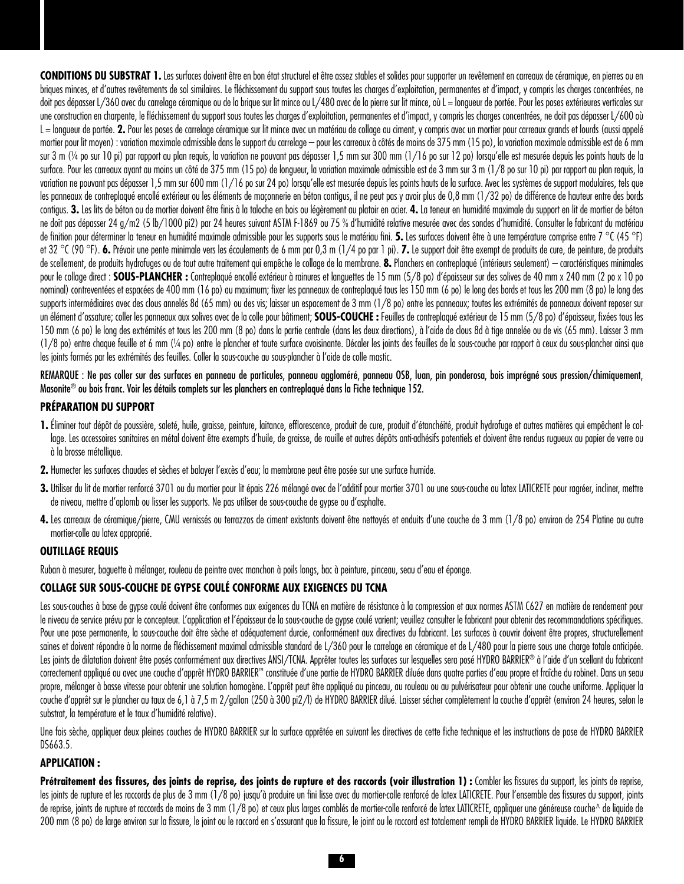**CONDITIONS DU SUBSTRAT 1.** Les surfaces doivent être en bon état structurel et être assez stables et solides pour supporter un revêtement en carreaux de céramique, en pierres ou en briques minces, et d'autres revêtements de sol similaires. Le fléchissement du support sous toutes les charges d'exploitation, permanentes et d'impact, y compris les charges concentrées, ne doit pas dépasser L/360 avec du carrelage céramique ou de la brique sur lit mince ou L/480 avec de la pierre sur lit mince, où L = longueur de portée. Pour les poses extérieures verticales sur une construction en charpente, le fléchissement du support sous toutes les charges d'exploitation, permanentes et d'impact, y compris les charges concentrées, ne doit pas dépasser L/600 où L = longueur de portée. 2. Pour les poses de carrelage céramique sur lit mince avec un matériau de collage au ciment, y compris avec un mortier pour carreaux grands et lourds (aussi appelé mortier pour lit moyen) : variation maximale admissible dans le support du carrelage – pour les carreaux à côtés de moins de 375 mm (15 po), la variation maximale admissible est de 6 mm sur 3 m (¼ po sur 10 pi) par rapport au plan requis, la variation ne pouvant pas dépasser 1.5 mm sur 300 mm (1/16 po sur 12 po) lorsqu'elle est mesurée depuis les points hauts de la surface. Pour les carreaux ayant au moins un côté de 375 mm (15 po) de longueur, la variation maximale admissible est de 3 mm sur 3 m (1/8 po sur 10 pi) par rapport au plan requis, la variation ne pouvant pas dépasser 1,5 mm sur 600 mm (1/16 po sur 24 po) lorsqu'elle est mesurée depuis les points hauts de la surface. Avec les systèmes de support modulaires, tels que les panneaux de contreplaqué encollé extérieur ou les éléments de maçonnerie en béton contigus, il ne peut pas y avoir plus de 0,8 mm (1/32 po) de différence de hauteur entre des bords contigus. **3.** Les lits de béton ou de mortier doivent être finis à la taloche en bois ou légèrement au platoir en acier. **4.** La teneur en humidité maximale du support en lit de mortier de béton ne doit pas dépasser 24 g/m2 (5 lb/1000 pi2) par 24 heures suivant ASTM F-1869 ou 75 % d'humidité relative mesurée avec des sondes d'humidité. Consulter le fabricant du matériau de finition pour déterminer la teneur en humidité maximale admissible pour les supports sous le matériau fini. **5.** Les surfaces doivent être à une température comprise entre 7 °C (45 °F) et 32 °C (90 °F). **6.** Prévoir une pente minimale vers les écoulements de 6 mm par 0,3 m (1/4 po par 1 pi). **7.** Le support doit être exempt de produits de cure, de peinture, de produits de scellement, de produits hydrofuges ou de tout autre traitement qui empêche le collage de la membrane. **8.** Planchers en contreplaqué (intérieurs seulement) – caractéristiques minimales pour le collage direct : **SOUS-PLANCHER** : Contreplaqué encollé extérieur à rainures et languettes de 15 mm (5/8 po) d'épaisseur sur des solives de 40 mm x 240 mm (2 po x 10 po nominal) contreventées et espacées de 400 mm (16 po) au maximum; fixer les panneaux de contreplaqué tous les 150 mm (6 po) le long des bords et tous les 200 mm (8 po) le long des supports intermédigires avec des clous annelés 8d (65 mm) ou des vis: laisser un espacement de 3 mm (1/8 po) entre les panneaux; toutes les extrémités de panneaux doivent reposer sur un élément d'ossature; coller les panneaux aux solives avec de la colle pour bâtiment; **SOUS-COUCHE :** Feuilles de contreplaqué extérieur de 15 mm (5/8 po) d'épaisseur, fixées tous les 150 mm (6 po) le long des extrémités et tous les 200 mm (8 po) dans la partie centrale (dans les deux directions), à l'aide de clous 8d à tige annelée ou de vis (65 mm). Laisser 3 mm (1/8 po) entre chaque feuille et 6 mm (¼ po) entre le plancher et toute surface avoisinante. Décaler les joints des feuilles de la sous-couche par rapport à ceux du sous-plancher ainsi que les joints formés par les extrémités des feuilles. Coller la sous-couche au sous-plancher à l'aide de colle mastic.

## REMARQUE : Ne pas coller sur des surfaces en panneau de particules, panneau aggloméré, panneau OSB, luan, pin ponderosa, bois imprégné sous pression/chimiquement, Masonite® ou bois franc. Voir les détails complets sur les planchers en contreplaqué dans la Fiche technique 152.

## **PRÉPARATION DU SUPPORT**

- 1. Éliminer tout dépôt de poussière, saleté, huile, graisse, peinture, laitance, efflorescence, produit de cure, produit d'étanchéité, produit hydrofuge et autres matières qui empêchent le collage. Les accessoires sanitaires en métal doivent être exempts d'huile, de graisse, de rouille et autres dépôts anti-adhésifs potentiels et doivent être rendus rugueux au papier de verre ou à la brosse métallique.
- **2.** Humecter les surfaces chaudes et sèches et balayer l'excès d'eau; la membrane peut être posée sur une surface humide.
- 3. Utiliser du lit de mortier renforcé 3701 ou du mortier pour lit épais 226 mélangé avec de l'additif pour mortier 3701 ou une sous-couche au latex LATICRETE pour ragréer, incliner, mettre de niveau, mettre d'aplomb ou lisser les supports. Ne pas utiliser de sous-couche de gypse ou d'asphalte.
- 4. Les carreaux de céramique/pierre, CMU vernissés ou terrazzos de ciment existants doivent être nettoyés et enduits d'une couche de 3 mm (1/8 po) environ de 254 Platine ou autre mortier-colle au latex approprié.

## **OUTILLAGE REQUIS**

Ruban à mesurer, baguette à mélanger, rouleau de peintre avec manchon à poils longs, bac à peinture, pinceau, seau d'eau et éponge.

## **COLLAGE SUR SOUS-COUCHE DE GYPSE COULÉ CONFORME AUX EXIGENCES DU TCNA**

Les sous-couches à base de gypse coulé doivent être conformes aux exigences du TCNA en matière de résistance à la compression et aux normes ASTM C627 en matière de rendement pour le niveau de service prévu par le concepteur. L'application et l'épaisseur de la sous-couche de gypse coulé varient; veuillez consulter le fabricant pour obtenir des recommandations spécifiques. Pour une pose permanente, la sous-couche doit être sèche et adéquatement durcie, conformément aux directives du fabricant. Les surfaces à couvrir doivent être propres, structurellement saines et doivent répondre à la norme de fléchissement maximal admissible standard de L/360 pour le carrelage en céramique et de L/480 pour la pierre sous une charge totale anticipée. Les joints de dilatation doivent être posés conformément aux directives ANSI/TCNA. Apprêter toutes les surfaces sur lesquelles sera posé HYDRO BARRIER® à l'aide d'un scellant du fabricant correctement appliqué ou avec une couche d'apprêt HYDRO BARRIER™ constituée d'une partie de HYDRO BARRIER diluée dans quatre parties d'eau propre et fraîche du robinet. Dans un seau propre, mélanger à basse vitesse pour obtenir une solution homogène. L'apprêt peut être appliqué au pinceau, au rouleau ou au pulvérisateur pour obtenir une couche uniforme. Appliquer la couche d'apprêt sur le plancher au taux de 6,1 à 7,5 m 2/gallon (250 à 300 pi2/l) de HYDRO BARRIER dilué. Laisser sécher complètement la couche d'apprêt (environ 24 heures, selon le substrat, la température et le taux d'humidité relative).

Une fois sèche, appliquer deux pleines couches de HYDRO BARRIER sur la surface apprêtée en suivant les directives de cette fiche technique et les instructions de pose de HYDRO BARRIER DS663.5.

## **APPLICATION :**

Prétraitement des fissures, des joints de reprise, des joints de rupture et des raccords (voir illustration 1) : Combler les fissures du support, les joints de reprise, les joints de rupture et les raccords de plus de 3 mm (1/8 po) jusqu'à produire un fini lisse avec du mortier-colle renforcé de latex LATICRETE. Pour l'ensemble des fissures du support, joints de reprise, joints de rupture et raccords de moins de 3 mm (1/8 po) et ceux plus larges comblés de mortier-colle renforcé de latex LATICRETE, appliquer une généreuse couche^ de liquide de 200 mm (8 po) de large environ sur la fissure, le joint ou le raccord en s'assurant que la fissure, le joint ou le raccord est totalement rempli de HYDRO BARRIER liquide. Le HYDRO BARRIER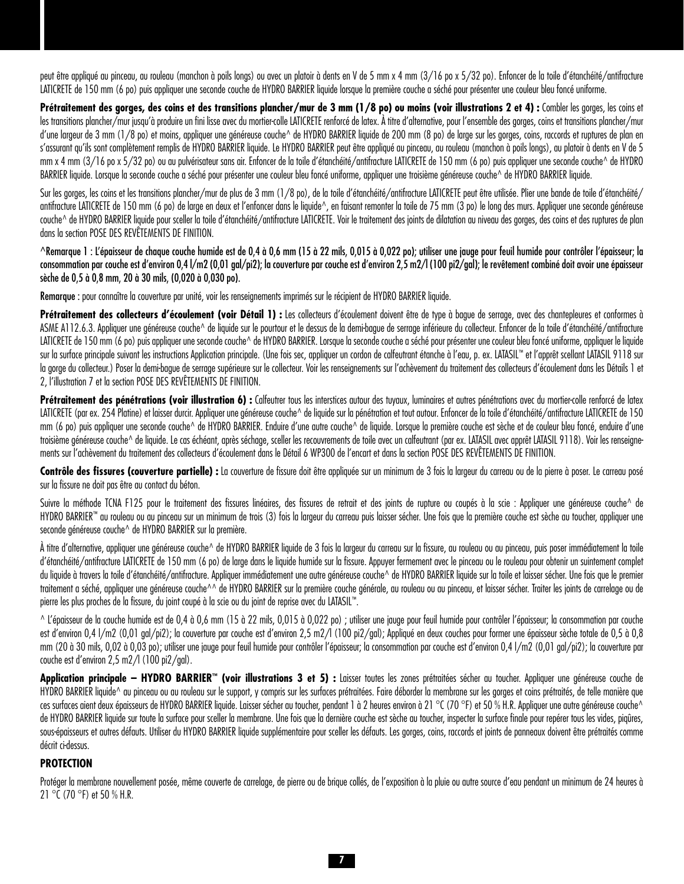peut être appliqué au pinceau, au rouleau (manchon à poils longs) ou avec un platoir à dents en V de 5 mm x 4 mm (3/16 po x 5/32 po). Enfoncer de la toile d'étanchéité/antifracture LATICRETE de 150 mm (6 po) puis appliquer une seconde couche de HYDRO BARRIER liquide lorsque la première couche a séché pour présenter une couleur bleu foncé uniforme.

Prétraitement des gorges, des coins et des transitions plancher/mur de 3 mm (1/8 po) ou moins (voir illustrations 2 et 4) : Combler les gorges, les coins et les transitions plancher/mur jusqu'à produire un fini lisse avec du mortier-colle LATICRETE renforcé de latex. À titre d'alternative, pour l'ensemble des gorges, coins et transitions plancher/mur d'une largeur de 3 mm (1/8 po) et moins, appliquer une généreuse couche^ de HYDRO BARRIER liquide de 200 mm (8 po) de large sur les gorges, coins, raccords et ruptures de plan en s'assurant qu'ils sont complètement remplis de HYDRO BARRIER liquide. Le HYDRO BARRIER peut être appliqué au pinceau, au rouleau (manchon à poils longs), au platoir à dents en V de 5 mm x 4 mm (3/16 po x 5/32 po) ou au pulvérisateur sans air. Enfoncer de la toile d'étanchéité/antifracture LATICRETE de 150 mm (6 po) puis appliquer une seconde couche^ de HYDRO BARRIER liquide. Lorsque la seconde couche a séché pour présenter une couleur bleu foncé uniforme, appliquer une troisième généreuse couche^ de HYDRO BARRIER liquide.

Sur les gorges, les coins et les transitions plancher/mur de plus de 3 mm (1/8 po), de la toile d'étanchéité/antifracture LATICRETE peut être utilisée. Plier une bande de toile d'étanchéité/ antifracture LATICRETE de 150 mm (6 po) de large en deux et l'enfoncer dans le liquide^, en faisant remonter la toile de 75 mm (3 po) le long des murs. Appliquer une seconde aénéreuse couche^ de HYDRO BARRIER liquide pour sceller la toile d'étanchéité/antifracture LATICRETE. Voir le traitement des joints de dilatation au niveau des gorges, des coins et des ruptures de plan dans la section POSE DES REVÊTEMENTS DE FINITION.

^Remarque 1 : L'épaisseur de chaque couche humide est de 0,4 à 0,6 mm (15 à 22 mils, 0,015 à 0,022 po); utiliser une jauge pour feuil humide pour contrôler l'épaisseur; la consommation par couche est d'environ 0,4 l/m2 (0,01 gal/pi2); la couverture par couche est d'environ 2,5 m2/l (100 pi2/gal); le revêtement combiné doit avoir une épaisseur sèche de 0,5 à 0,8 mm, 20 à 30 mils, (0,020 à 0,030 po).

Remarque : pour connaître la couverture par unité, voir les renseignements imprimés sur le récipient de HYDRO BARRIER liquide.

Prétraitement des collecteurs d'écoulement (voir Détail 1) : Les collecteurs d'écoulement doivent être de type à bague de serrage, avec des chantepleures et conformes à ASME A112.6.3. Appliquer une généreuse couche^ de liquide sur le pourtour et le dessus de la demi-bague de serrage inférieure du collecteur. Enfoncer de la toile d'étanchéité/antifracture LATICRETE de 150 mm (6 po) puis appliquer une seconde couche^ de HYDRO BARRIER. Lorsque la seconde couche a séché pour présenter une couleur bleu foncé uniforme, appliquer le liquide sur la surface principale suivant les instructions Application principale. (Une fois sec, appliquer un cordon de calfeutrant étanche à l'eau, p. ex. LATASIL™ et l'apprêt scellant LATASIL 9118 sur la gorge du collecteur.) Poser la demi-bague de serrage supérieure sur le collecteur. Voir les renseignements sur l'achèvement du traitement des collecteurs d'écoulement dans les Détails 1 et 2, l'illustration 7 et la section POSE DES REVÊTEMENTS DE FINITION.

Prétraitement des pénétrations (voir illustration 6) : Calfeutrer tous les interstices autour des tuyaux, luminaires et autres pénétrations avec du mortier-colle renforcé de latex LATICRETE (par ex. 254 Platine) et laisser durcir. Appliquer une généreuse couche^ de liquide sur la pénétration et tout autour. Enfoncer de la toile d'étanchéité/antifracture LATICRETE de 150 mm (6 po) puis appliquer une seconde couche^ de HYDRO BARRIER. Enduire d'une autre couche^ de liquide. Lorsque la première couche est sèche et de couleur bleu foncé, enduire d'une troisième généreuse couche^ de liquide. Le cas échéant, après séchage, sceller les recouvrements de toile avec un calfeutrant (par ex. LATASIL avec apprêt LATASIL 9118). Voir les renseignements sur l'achèvement du traitement des collecteurs d'écoulement dans le Détail 6 WP300 de l'encart et dans la section POSE DES REVÊTEMENTS DE FINITION.

Contrôle des fissures (couverture partielle) : La couverture de fissure doit être appliquée sur un minimum de 3 fois la largeur du carreau ou de la pierre à poser. Le carreau posé sur la fissure ne doit pas être au contact du béton.

Suivre la méthode TCNA F125 pour le traitement des fissures linéaires, des fissures de retrait et des joints de rupture ou coupés à la scie : Appliquer une généreuse couche^ de HYDRO BARRIER™ au rouleau ou au pinceau sur un minimum de trois (3) fois la largeur du carreau puis laisser sécher. Une fois que la première couche est sèche au toucher, appliquer une seconde généreuse couche^ de HYDRO BARRIER sur la première.

À titre d'alternative, appliquer une généreuse couche^ de HYDRO BARRIER liquide de 3 fois la largeur du carreau sur la fissure, au rouleau ou au pinceau, puis poser immédiatement la toile d'étanchéité/antifracture LATICRETE de 150 mm (6 po) de large dans le liquide humide sur la fissure. Appuyer fermement avec le pinceau ou le rouleau pour obtenir un suintement complet du liquide à travers la toile d'étanchéité/antifracture. Appliquer immédiatement une autre généreuse couche^ de HYDRO BARRIER liquide sur la toile et laisser sécher. Une fois que le premier traitement a séché, appliquer une généreuse couche^^ de HYDRO BARRIER sur la première couche générale, au rouleau ou au pinceau, et laisser sécher. Traiter les joints de carrelage ou de pierre les plus proches de la fissure, du joint coupé à la scie ou du joint de reprise avec du LATASIL™.

^ L'épaisseur de la couche humide est de 0,4 à 0,6 mm (15 à 22 mils, 0,015 à 0,022 po) ; utiliser une jauge pour feuil humide pour contrôler l'épaisseur; la consommation par couche est d'environ 0,4 l/m2 (0,01 gal/pi2); la couverture par couche est d'environ 2,5 m2/l (100 pi2/gal); Appliqué en deux couches pour former une épaisseur sèche totale de 0,5 à 0,8 mm (20 à 30 mils, 0,02 à 0,03 po); utiliser une jauge pour feuil humide pour contrôler l'épaisseur; la consommation par couche est d'environ 0,4 l/m2 (0,01 gal/pi2); la couverture par couche est d'environ 2,5 m2/l (100 pi2/gal).

**Application principale – HYDRO BARRIER™ (voir illustrations 3 et 5) :** Laisser toutes les zones prétraitées sécher au toucher. Appliquer une généreuse couche de HYDRO BARRIER liquide^ au pinceau ou au rouleau sur le support, y compris sur les surfaces prétraitées. Faire déborder la membrane sur les gorges et coins prétraités, de telle manière que ces surfaces aient deux épaisseurs de HYDRO BARRIER liquide. Laisser sécher au toucher, pendant 1 à 2 heures environ à 21 °C (70 °F) et 50 % H.R. Appliquer une autre généreuse couche^ de HYDRO BARRIER liquide sur toute la surface pour sceller la membrane. Une fois que la dernière couche est sèche au toucher, inspecter la surface finale pour repérer tous les vides, piqûres, sous-épaisseurs et autres défauts. Utiliser du HYDRO BARRIER liquide supplémentaire pour sceller les défauts. Les gorges, coins, raccords et joints de panneaux doivent être prétraités comme décrit ci-dessus.

# **PROTECTION**

Protéger la membrane nouvellement posée, même couverte de carrelage, de pierre ou de brique collés, de l'exposition à la pluie ou autre source d'eau pendant un minimum de 24 heures à 21 °C (70 °F) et 50 % H.R.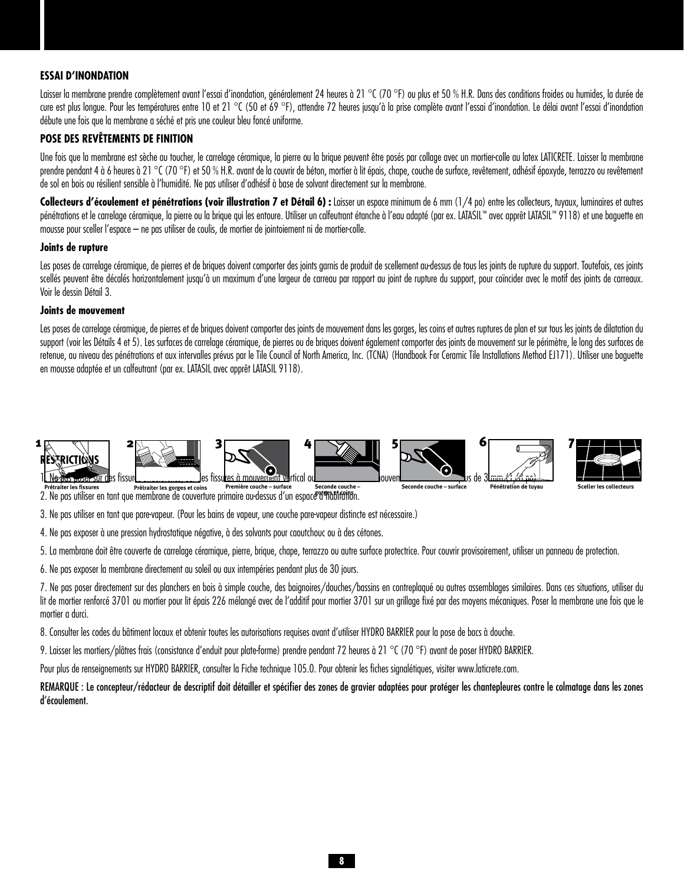## **ESSAI D'INONDATION**

Laisser la membrane prendre complètement avant l'essai d'inondation, généralement 24 heures à 21 °C (70 °F) ou plus et 50 % H.R. Dans des conditions froides ou humides, la durée de cure est plus longue. Pour les températures entre 10 et 21 °C (50 et 69 °F), attendre 72 heures jusqu'à la prise complète avant l'essai d'inondation. Le délai avant l'essai d'inondation débute une fois que la membrane a séché et pris une couleur bleu foncé uniforme.

# **POSE DES REVÊTEMENTS DE FINITION**

Une fois que la membrane est sèche au toucher, le carrelage céramique, la pierre ou la brique peuvent être posés par collage avec un mortier-colle au latex LATICRETE. Laisser la membrane prendre pendant 4 à 6 heures à 21 °C (70 °F) et 50 % H.R. avant de la couvrir de béton, mortier à lit épais, chape, couche de surface, revêtement, adhésif époxyde, terrazzo ou revêtement de sol en bois ou résilient sensible à l'humidité. Ne pas utiliser d'adhésif à base de solvant directement sur la membrane.

Collecteurs d'écoulement et pénétrations (voir illustration 7 et Détail 6) : Laisser un espace minimum de 6 mm (1/4 po) entre les collecteurs, tuyaux, luminaires et autres pénétrations et le carrelage céramique, la pierre ou la brique qui les entoure. Utiliser un calfeutrant étanche à l'eau adapté (par ex. LATASIL™ avec apprêt LATASIL™ 9118) et une baquette en mousse pour sceller l'espace – ne pas utiliser de coulis, de mortier de jointoiement ni de mortier-colle.

## **Joints de rupture**

Les poses de carrelage céramique, de pierres et de briques doivent comporter des joints garnis de produit de scellement au-dessus de tous les joints de rupture du support. Toutefois, ces joints scellés peuvent être décalés horizontalement jusqu'à un maximum d'une largeur de carreau par rapport au joint de rupture du support, pour coïncider avec le motif des joints de carreaux. Voir le dessin Détail 3.

## **Joints de mouvement**

Les poses de carrelage céramique, de pierres et de briques doivent comporter des joints de mouvement dans les gorges, les coins et autres ruptures de plan et sur tous les joints de dilatation du support (voir les Détails 4 et 5), Les surfaces de carrelage céramique, de pierres ou de briques doivent également comporter des joints de mouvement sur le périmètre, le long des surfaces de retenue, au niveau des pénétrations et aux intervalles prévus par le Tile Council of North America, Inc. (TCNA) (Handbook For Ceramic Tile Installations Method EJ171). Utiliser une baguette en mousse adaptée et un calfeutrant (par ex. LATASIL avec apprêt LATASIL 9118).



Prétraiter les fissures prétraiter les gorges et coins première couche – surface seconde couche – Prétraiter les<br>2 . Ne pas utiliser en tant que membrane de couverture primaire au-dessus d'un espac*e* d'finabirains .

3. Ne pas utiliser en tant que pare-vapeur. (Pour les bains de vapeur, une couche pare-vapeur distincte est nécessaire.)

4. Ne pas exposer à une pression hydrostatique négative, à des solvants pour caoutchouc ou à des cétones.

5. La membrane doit être couverte de carrelage céramique, pierre, brique, chape, terrazzo ou autre surface protectrice. Pour couvrir provisoirement, utiliser un panneau de protection.

6. Ne pas exposer la membrane directement au soleil ou aux intempéries pendant plus de 30 jours.

7. Ne pas poser directement sur des planchers en bois à simple couche, des baignoires/douches/bassins en contreplaqué ou autres assemblages similaires. Dans ces situations, utiliser du lit de mortier renforcé 3701 ou mortier pour lit épais 226 mélangé avec de l'additif pour mortier 3701 sur un grillage fixé par des moyens mécaniques. Poser la membrane une fois que le mortier a durci.

8. Consulter les codes du bâtiment locaux et obtenir toutes les autorisations requises avant d'utiliser HYDRO BARRIER pour la pose de bacs à douche.

9. Laisser les mortiers/plâtres frais (consistance d'enduit pour plate-forme) prendre pendant 72 heures à 21 °C (70 °F) avant de poser HYDRO BARRIER.

Pour plus de renseignements sur HYDRO BARRIER, consulter la Fiche technique 105.0. Pour obtenir les fiches signalétiques, visiter www.laticrete.com.

REMARQUE : Le concepteur/rédacteur de descriptif doit détailler et spécifier des zones de gravier adaptées pour protéger les chantepleures contre le colmatage dans les zones d'écoulement.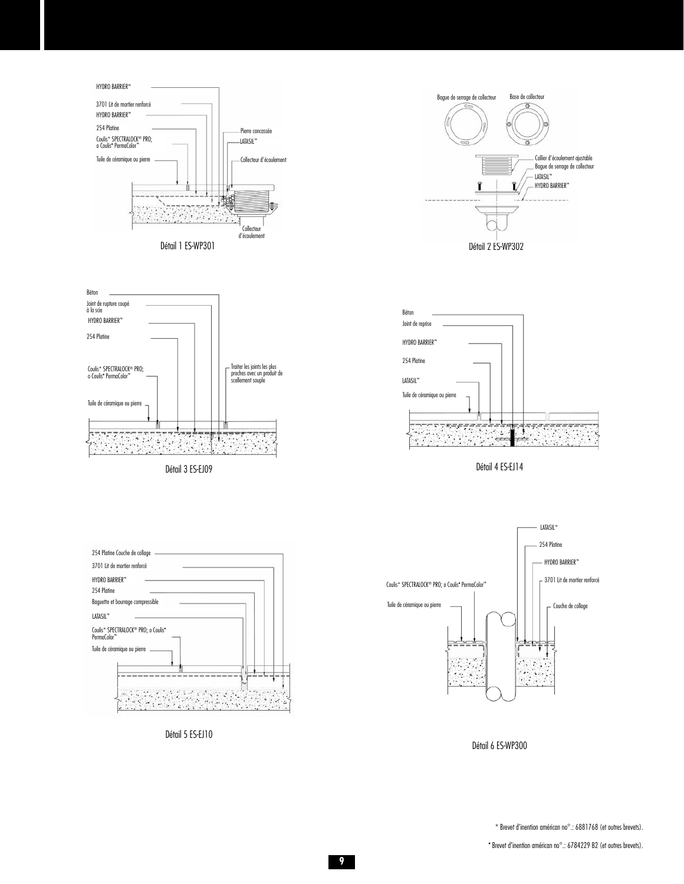







Détail 3 ES-EJ09 Détail 4 ES-EJ14



Détail 5 ES-EJ10



Détail 6 ES-WP300

\* Brevet d'inention américan no°.: 6881768 (et outres brevets).

• Brevet d'inention américan no°.: 6784229 B2 (et outres brevets).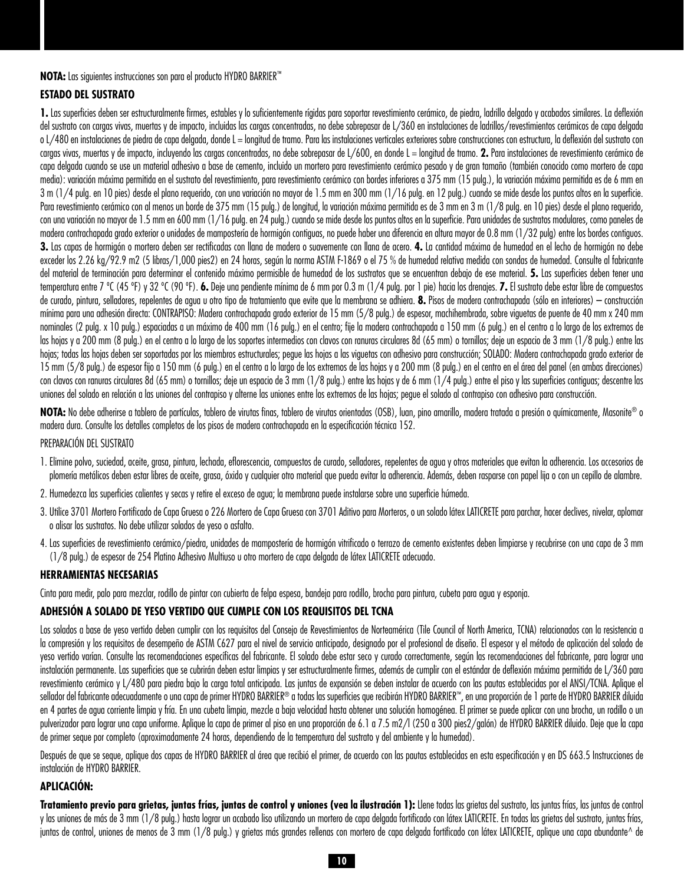## **NOTA:** Las siguientes instrucciones son para el producto HYDRO BARRIER™

# **ESTADO DEL SUSTRATO**

1. Las superficies deben ser estructuralmente firmes, estables y lo suficientemente rígidas para soportar revestimiento cerámico, de piedra, ladrillo delgado y acabados similares. La deflexión del sustrato con cargas vivas, muertas y de impacto, incluidas las cargas concentradas, no debe sobrepasar de L/360 en instalaciones de ladrillos/revestimientos cerámicos de capa delgada o L/480 en instalaciones de piedra de capa delgada, donde L = longitud de tramo. Para las instalaciones verticales exteriores sobre construcciones con estructura, la deflexión del sustrato con cargas vivas, muertas y de impacto, incluyendo las cargas concentradas, no debe sobrepasar de L/600, en donde L = longitud de tramo. 2. Para instalaciones de revestimiento cerámico de capa delgada cuando se use un material adhesivo a base de cemento, incluido un mortero para revestimiento cerámico pesado y de gran tamaño (también conocido como mortero de capa media): variación máxima permitida en el sustrato del revestimiento, para revestimiento cerámico con bordes inferiores a 375 mm (15 pulg.), la variación máxima permitida es de 6 mm en 3 m (1/4 pulg. en 10 pies) desde el plano requerido, con una variación no mayor de 1.5 mm en 300 mm (1/16 pulg. en 12 pulg.) cuando se mide desde los puntos altos en la superficie. Para revestimiento cerámico con al menos un borde de 375 mm (15 pulg.) de longitud, la variación máxima permitida es de 3 mm en 3 m (1/8 pulg. en 10 pies) desde el plano requerido, con una variación no mayor de 1.5 mm en 600 mm (1/16 pulg. en 24 pulg.) cuando se mide desde los puntos altos en la superficie. Para unidades de sustratos modulares, como paneles de madera contrachapada grado exterior o unidades de mampostería de hormigón contiguas, no puede haber una diferencia en altura mayor de 0.8 mm (1/32 pulg) entre los bordes contiguos. **3.** Las capas de hormigón o mortero deben ser rectificadas con llana de madera o suavemente con llana de acero. **4.** La cantidad máxima de humedad en el lecho de hormigón no debe exceder los 2.26 kg/92.9 m2 (5 libras/1,000 pies2) en 24 horas, según la norma ASTM F-1869 o el 75 % de humedad relativa medida con sondas de humedad. Consulte al fabricante del material de terminación para determinar el contenido máximo permisible de humedad de los sustratos que se encuentran debajo de ese material. **5.** Las superficies deben tener una temperatura entre 7 ºC (45 ºF) y 32 ºC (90 ºF). **6.** Deje una pendiente mínima de 6 mm por 0.3 m (1/4 pulg. por 1 pie) hacia los drenajes. **7.** El sustrato debe estar libre de compuestos de curado, pintura, selladores, repelentes de agua u otro tipo de tratamiento que evite que la membrana se adhiera. **8.** Pisos de madera contrachapada (sólo en interiores) – construcción mínima para una adhesión directa: CONTRAPISO: Madera contrachapada grado exterior de 15 mm (5/8 pulg.) de espesor, machihembrada, sobre viguetas de puente de 40 mm x 240 mm nominales (2 pulg. x 10 pulg.) espaciadas a un máximo de 400 mm (16 pulg.) en el centro; fije la madera contrachapada a 150 mm (6 pulg.) en el centro a lo largo de los extremos de las hojas y a 200 mm (8 pulg.) en el centro a lo largo de los soportes intermedios con clavos con ranuras circulares 8d (65 mm) o tornillos; deje un espacio de 3 mm (1/8 pulg.) entre las hojas; todas las hojas deben ser soportadas por los miembros estructurales; pegue las hojas a las viguetas con adhesivo para construcción; SOLADO: Madera contrachapada grado exterior de 15 mm (5/8 pulg.) de espesor fijo a 150 mm (6 pulg.) en el centro a lo largo de los extremos de las hojas y a 200 mm (8 pulg.) en el centro en el área del panel (en ambas direcciones) con clavos con ranuras circulares 8d (65 mm) o tornillos; deie un espacio de 3 mm (1/8 pulg.) entre las hojas y de 6 mm (1/4 pulg.) entre el piso y las superficies contiguas; descentre las uniones del solado en relación a las uniones del contrapiso y alterne las uniones entre los extremos de las hojas; pegue el solado al contrapiso con adhesivo para construcción.

**NOTA:** No debe adherirse a tablero de partículas, tablero de virutas finas, tablero de virutas orientadas (OSB), luan, pino amarillo, madera tratada a presión o químicamente, Masonite® o madera dura. Consulte los detalles completos de los pisos de madera contrachapada en la especificación técnica 152.

## PREPARACIÓN DEL SUSTRATO

- 1. Elimine polvo, suciedad, aceite, grasa, pintura, lechada, eflorescencia, compuestos de curado, selladores, repelentes de agua y otros materiales que evitan la adherencia. Los accesorios de plomería metálicos deben estar libres de aceite, grasa, óxido y cualquier otro material que pueda evitar la adherencia. Además, deben rasparse con papel lija o con un cepillo de alambre.
- 2. Humedezca las superficies calientes y secas y retire el exceso de agua; la membrana puede instalarse sobre una superficie húmeda.
- 3. Utilice 3701 Mortero Fortificado de Capa Gruesa o 226 Mortero de Capa Gruesa con 3701 Aditivo para Morteros, o un solado látex LATICRETE para parchar, hacer declives, nivelar, aplomar o alisar los sustratos. No debe utilizar solados de yeso o asfalto.
- 4. Las superficies de revestimiento cerámico/piedra, unidades de mampostería de hormigón vitrificado o terrazo de cemento existentes deben limpiarse y recubrirse con una capa de 3 mm (1/8 pulg.) de espesor de 254 Platino Adhesivo Multiuso u otro mortero de capa delgada de látex LATICRETE adecuado.

## **HERRAMIENTAS NECESARIAS**

Cinta para medir, palo para mezclar, rodillo de pintar con cubierta de felpa espesa, bandeja para rodillo, brocha para pintura, cubeta para agua y esponja.

## **ADHESIÓN A SOLADO DE YESO VERTIDO QUE CUMPLE CON LOS REQUISITOS DEL TCNA**

Los solados a base de yeso vertido deben cumplir con los requisitos del Consejo de Revestimientos de Norteamérica (Tile Council of North America, TCNA) relacionados con la resistencia a la compresión y los requisitos de desempeño de ASTM C627 para el nivel de servicio anticipado, designado por el profesional de diseño. El espesor y el método de aplicación del solado de yeso vertido varían. Consulte las recomendaciones específicas del fabricante. El solado debe estar seco y curado correctamente, según las recomendaciones del fabricante, para lograr una instalación permanente. Las superficies que se cubrirán deben estar limpias y ser estructuralmente firmes, además de cumplir con el estándar de deflexión máxima permitida de L/360 para revestimiento cerámico y L/480 para piedra bajo la carga total anticipada. Las juntas de expansión se deben instalar de acuerdo con las pautas establecidas por el ANSI/TCNA. Aplique el sellador del fabricante adecuadamente o una capa de primer HYDRO BARRIER® a todas las superficies que recibirán HYDRO BARRIER™, en una proporción de 1 parte de HYDRO BARRIER diluida en 4 partes de agua corriente limpia y fría. En una cubeta limpia, mezcle a baja velocidad hasta obtener una solución homogénea. El primer se puede aplicar con una brocha, un rodillo o un pulverizador para lograr una capa uniforme. Aplique la capa de primer al piso en una proporción de 6.1 a 7.5 m2/l (250 a 300 pies2/galón) de HYDRO BARRIER diluido. Deje que la capa de primer seque por completo (aproximadamente 24 horas, dependiendo de la temperatura del sustrato y del ambiente y la humedad).

Después de que se seque, aplique dos capas de HYDRO BARRIER al área que recibió el primer, de acuerdo con las pautas establecidas en esta especificación y en DS 663.5 Instrucciones de instalación de HYDRO BARRIER.

## **APLICACIÓN:**

Tratamiento previo para grietas, juntas frías, juntas de control y uniones (vea la ilustración 1): Llene todas las grietas del sustrato, las juntas frías, las juntas de control y las uniones de más de 3 mm (1/8 pulg.) hasta lograr un acabado liso utilizando un mortero de capa delgada fortificado con látex LATICRETE. En todas las grietas del sustrato, juntas frías, juntas de control, uniones de menos de 3 mm (1/8 pulg.) y grietas más grandes rellenas con mortero de capa delgada fortificado con látex LATICRETE, aplique una capa abundante^ de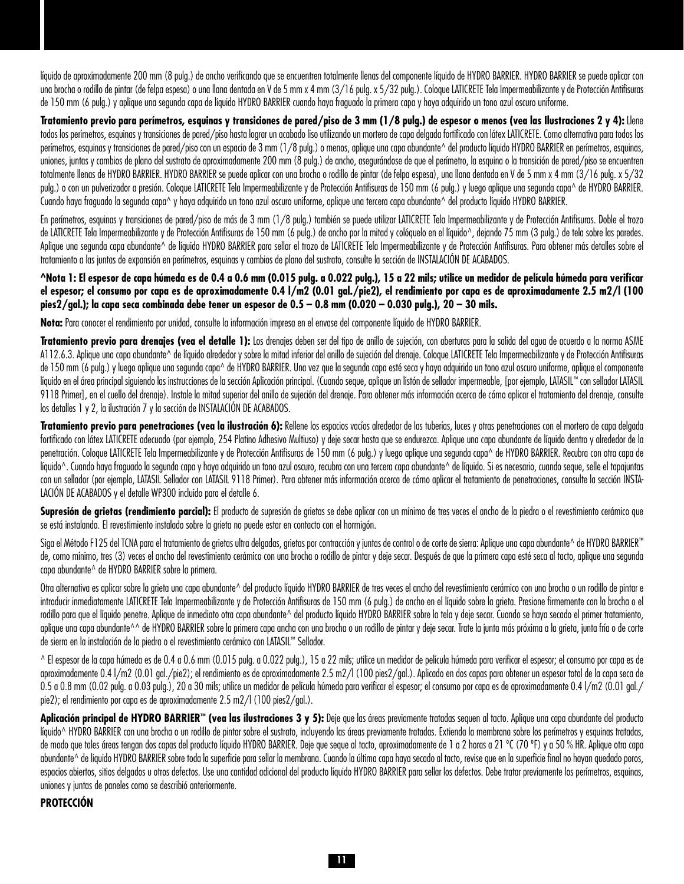líquido de aproximadamente 200 mm (8 pulg.) de ancho verificando que se encuentren totalmente llenas del componente líquido de HYDRO BARRIER. HYDRO BARRIER se puede aplicar con una brocha o rodillo de pintar (de felpa espesa) o una llana dentada en V de 5 mm x 4 mm (3/16 pulg. x 5/32 pulg.). Coloque LATICRETE Tela Impermeabilizante y de Protección Antifisuras de 150 mm (6 pulg.) y aplique una segunda capa de líquido HYDRO BARRIER cuando haya fraguado la primera capa y haya adquirido un tono azul oscuro uniforme.

**Tratamiento previo para perímetros, esquinas y transiciones de pared/piso de 3 mm (1/8 pulg.) de espesor o menos (vea las Ilustraciones 2 y 4):** Llene todos los perímetros, esquinas y transiciones de pared/piso hasta lograr un acabado liso utilizando un mortero de capa delgada fortificado con látex LATICRETE. Como alternativa para todos los perímetros, esquinas y transiciones de pared/piso con un espacio de 3 mm (1/8 pulg.) o menos, aplique una capa abundante^ del producto líquido HYDRO BARRIER en perímetros, esquinas, uniones, juntas y cambios de plano del sustrato de aproximadamente 200 mm (8 pulg.) de ancho, asegurándose de que el perímetro, la esquina o la transición de pared/piso se encuentren totalmente llenas de HYDRO BARRIER. HYDRO BARRIER se puede aplicar con una brocha o rodillo de pintar (de felpa espesa), una llana dentada en V de 5 mm x 4 mm (3/16 pulg. x 5/32 pulg.) o con un pulverizador a presión. Coloque LATICRETE Tela Impermeabilizante y de Protección Antifisuras de 150 mm (6 pulg.) y luego aplique una segunda capa^ de HYDRO BARRIER. Cuando haya fraguado la segunda capa^ y haya adquirido un tono azul oscuro uniforme, aplique una tercera capa abundante^ del producto líquido HYDRO BARRIER.

En perímetros, esquinas y transiciones de pared/piso de más de 3 mm (1/8 pulg.) también se puede utilizar LATICRETE Tela Impermeabilizante y de Protección Antifisuras. Doble el trozo de LATICRETE Tela Impermeabilizante y de Protección Antifisuras de 150 mm (6 pulg.) de ancho por la mitad y colóquelo en el líquido<sup> $\land$ </sup>, dejando 75 mm (3 pulg.) de tela sobre las paredes. Aplique una segunda capa abundante^ de líquido HYDRO BARRIER para sellar el trozo de LATICRETE Tela Impermeabilizante y de Protección Antifisuras. Para obtener más detalles sobre el tratamiento a las juntas de expansión en perímetros, esquinas y cambios de plano del sustrato, consulte la sección de INSTALACIÓN DE ACABADOS.

**^Nota 1: El espesor de capa húmeda es de 0.4 a 0.6 mm (0.015 pulg. a 0.022 pulg.), 15 a 22 mils; utilice un medidor de película húmeda para verificar el espesor; el consumo por capa es de aproximadamente 0.4 l/m2 (0.01 gal./pie2), el rendimiento por capa es de aproximadamente 2.5 m2/l (100 pies2/gal.); la capa seca combinada debe tener un espesor de 0.5 – 0.8 mm (0.020 – 0.030 pulg.), 20 – 30 mils.** 

**Nota:** Para conocer el rendimiento por unidad, consulte la información impresa en el envase del componente líquido de HYDRO BARRIER.

**Tratamiento previo para drenajes (vea el detalle 1):** Los drenajes deben ser del tipo de anillo de sujeción, con aberturas para la salida del agua de acuerdo a la norma ASME A112.6.3. Aplique una capa abundante^ de líquido alrededor y sobre la mitad inferior del anillo de sujeción del drenaje. Coloque LATICRETE Tela Impermeabilizante y de Protección Antifisuras de 150 mm (6 pulg.) y luego aplique una segunda capa^ de HYDRO BARRIER. Una vez que la segunda capa esté seca y haya adquirido un tono azul oscuro uniforme, aplique el componente líquido en el área principal siguiendo las instrucciones de la sección Aplicación principal. (Cuando seque, aplique un listón de sellador impermeable, [por ejemplo, LATASIL™ con sellador LATASIL 9118 Primer], en el cuello del drenaje). Instale la mitad superior del anillo de sujeción del drenaje. Para obtener más información acerca de cómo aplicar el tratamiento del drenaje, consulte los detalles 1 y 2, la ilustración 7 y la sección de INSTALACIÓN DE ACABADOS.

**Tratamiento previo para penetraciones (vea la ilustración 6):** Rellene los espacios vacíos alrededor de las tuberías, luces y otras penetraciones con el mortero de capa delgada fortificado con látex LATICRETE adecuado (por ejemplo, 254 Platino Adhesivo Multiuso) y deje secar hasta que se endurezca. Aplique una capa abundante de líquido dentro y alrededor de la penetración. Coloque LATICRETE Tela Impermeabilizante y de Protección Antifisuras de 150 mm (6 pulg.) y luego aplique una segunda capa^ de HYDRO BARRIER. Recubra con otra capa de líquido^. Cuando haya fraguado la segunda capa y haya adquirido un tono azul oscuro, recubra con una tercera capa abundante^ de líquido. Si es necesario, cuando seque, selle el tapajuntas con un sellador (por ejemplo, LATASIL Sellador con LATASIL 9118 Primer). Para obtener más información acerca de cómo aplicar el tratamiento de penetraciones, consulte la sección INSTA-LACIÓN DE ACABADOS y el detalle WP300 incluido para el detalle 6.

Supresión de grietas (rendimiento parcial): El producto de supresión de grietas se debe aplicar con un mínimo de tres veces el ancho de la piedra o el revestimiento cerámico que se está instalando. El revestimiento instalado sobre la grieta no puede estar en contacto con el hormigón.

Siga el Método F125 del TCNA para el tratamiento de grietas ultra delgadas, grietas por contracción y juntas de control o de corte de sierra: Aplique una capa abundante^ de HYDRO BARRIER™ de, como mínimo, tres (3) veces el ancho del revestimiento cerámico con una brocha o rodillo de pintar y deje secar. Después de que la primera capa esté seca al tacto, aplique una segunda capa abundante^ de HYDRO BARRIER sobre la primera.

Otra alternativa es aplicar sobre la grieta una capa abundante^ del producto líquido HYDRO BARRIER de tres veces el ancho del revestimiento cerámico con una brocha o un rodillo de pintar e introducir inmediatamente LATICRETE Tela Impermeabilizante y de Protección Antifisuras de 150 mm (6 pulg.) de ancho en el líquido sobre la grieta. Presione firmemente con la brocha o el rodillo para que el líquido penetre. Aplique de inmediato otra capa abundante^ del producto líquido HYDRO BARRIER sobre la tela y deje secar. Cuando se haya secado el primer tratamiento, aplique una capa abundante^^ de HYDRO BARRIER sobre la primera capa ancha con una brocha o un rodillo de pintar y deje secar. Trate la junta más próxima a la grieta, junta fría o de corte de sierra en la instalación de la piedra o el revestimiento cerámico con LATASIL™ Sellador.

^ El espesor de la capa húmeda es de 0.4 a 0.6 mm (0.015 pulg. a 0.022 pulg.), 15 a 22 mils; utilice un medidor de película húmeda para verificar el espesor; el consumo por capa es de aproximadamente 0.4 l/m2 (0.01 gal./pie2); el rendimiento es de aproximadamente 2.5 m2/l (100 pies2/gal.). Aplicado en dos capas para obtener un espesor total de la capa seca de 0.5 a 0.8 mm (0.02 pulg. a 0.03 pulg.), 20 a 30 mils; utilice un medidor de película húmeda para verificar el espesor; el consumo por capa es de aproximadamente 0.4 l/m2 (0.01 gal./ pie2); el rendimiento por capa es de aproximadamente 2.5 m2/l (100 pies2/gal.).

Aplicación principal de HYDRO BARRIER™ (vea las ilustraciones 3 y 5): Deje que las áreas previamente tratadas sequen al tacto. Aplique una capa abundante del producto líquido^ HYDRO BARRIER con una brocha o un rodillo de pintar sobre el sustrato, incluyendo las áreas previamente tratadas. Extienda la membrana sobre los perímetros y esquinas tratadas, de modo que tales áreas tengan dos capas del producto líquido HYDRO BARRIER. Deje que seque al tacto, aproximadamente de 1 a 2 horas a 21 ºC (70 ºF) y a 50 % HR. Aplique otra capa abundante^ de líquido HYDRO BARRIER sobre toda la superficie para sellar la membrana. Cuando la última capa haya secado al tacto, revise que en la superficie final no hayan quedado poros, espacios abiertos, sitios delgados u otros defectos. Use una cantidad adicional del producto líquido HYDRO BARRIER para sellar los defectos. Debe tratar previamente los perímetros, esquinas, uniones y juntas de paneles como se describió anteriormente.

# **PROTECCIÓN**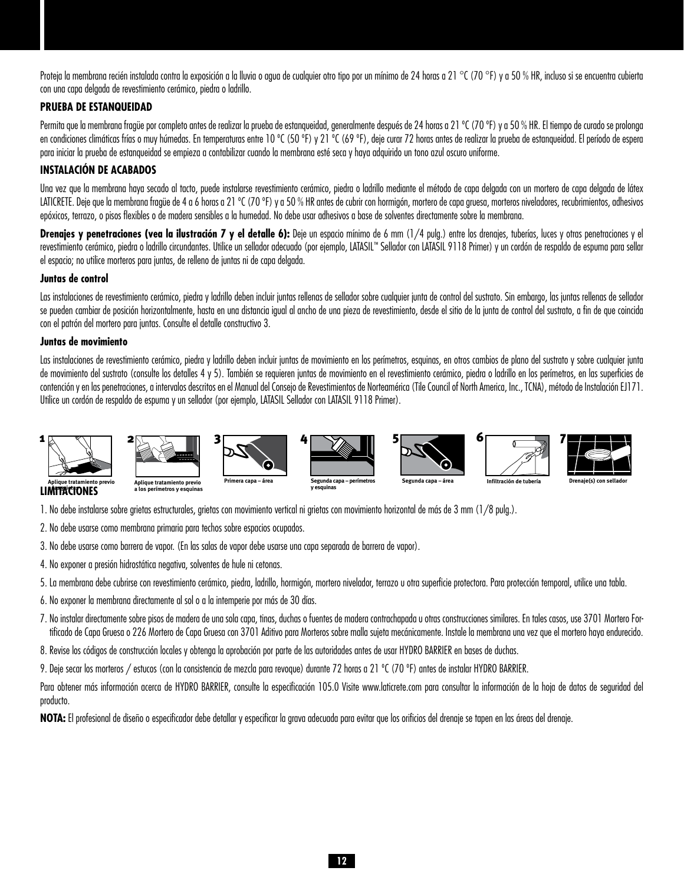Proteia la membrana recién instalada contra la exposición a la lluvia o agua de cualquier otro tipo por un mínimo de 24 horas a 21 °C (70 °F) y a 50 % HR, incluso si se encuentra cubierta con una capa delgada de revestimiento cerámico, piedra o ladrillo.

## **PRUEBA DE ESTANQUEIDAD**

Permita que la membrana fragüe por completo antes de realizar la prueba de estanqueidad, generalmente después de 24 horas a 21 °C (70 °F) y a 50 % HR. El tiempo de curado se prolonga en condiciones climáticas frías o muy húmedas. En temperaturas entre 10 °C (50 °F) y 21 °C (69 °F), deje curar 72 horas antes de realizar la prueba de estanqueidad. El período de espera para iniciar la prueba de estanqueidad se empieza a contabilizar cuando la membrana esté seca y haya adquirido un tono azul oscuro uniforme.

# **INSTALACIÓN DE ACABADOS**

Una vez que la membrana haya secado al tacto, puede instalarse revestimiento cerámico, piedra o ladrillo mediante el método de capa delgada con un mortero de capa delgada de látex LATICRETE. Deje que la membrana fragüe de 4 a 6 horas a 21 °C (70 °F) y a 50 % HR antes de cubrir con hormigón, mortero de capa gruesa, morteros niveladores, recubrimientos, adhesivos epóxicos, terrazo, o pisos flexibles o de madera sensibles a la humedad. No debe usar adhesivos a base de solventes directamente sobre la membrana.

Drenajes y penetraciones (vea la ilustración 7 y el detalle 6): Deje un espacio mínimo de 6 mm (1/4 pulg.) entre los drenajes, tuberías, luces y otras penetraciones y el revestimiento cerámico, piedra o ladrillo circundantes. Utilice un sellador adecuado (por ejemplo, LATASIL™ Sellador con LATASIL 9118 Primer) y un cordón de respaldo de espuma para sellar el espacio; no utilice morteros para juntas, de relleno de juntas ni de capa delgada.

## **Juntas de control**

Las instalaciones de revestimiento cerámico, piedra y ladrillo deben incluir juntas rellenas de sellador sobre cualquier junta de control del sustrato. Sin embargo, las juntas rellenas de sellador se pueden cambiar de posición horizontalmente, hasta en una distancia igual al ancho de una pieza de revestimiento, desde el sitio de la junta de control del sustrato, a fin de que coincida con el patrón del mortero para juntas. Consulte el detalle constructivo 3.

## **Juntas de movimiento**

Las instalaciones de revestimiento cerámico, piedra y ladrillo deben incluir juntas de movimiento en los perímetros, esquinas, en otros cambios de plano del sustrato y sobre cualquier junta de movimiento del sustrato (consulte los detalles 4 y 5). También se requieren juntas de movimiento en el revestimiento cerámico, piedra o ladrillo en los perímetros, en las superficies de contención y en las penetraciones, a intervalos descritos en el Manual del Consejo de Revestimientos de Norteamérica (Tile Council of North America, Inc., TCNA), método de Instalación EJ171. Utilice un cordón de respaldo de espuma y un sellador (por ejemplo, LATASIL Sellador con LATASIL 9118 Primer).



**LIMITACIONES a las grietas**

**Aplique tratamiento previo a los perímetros y esquinas**

1. No debe instalarse sobre grietas estructurales, grietas con movimiento vertical ni grietas con movimiento horizontal de más de 3 mm (1/8 pulg.).

2. No debe usarse como membrana primaria para techos sobre espacios ocupados.

3. No debe usarse como barrera de vapor. (En las salas de vapor debe usarse una capa separada de barrera de vapor).

4. No exponer a presión hidrostática negativa, solventes de hule ni cetonas.

5. La membrana debe cubrirse con revestimiento cerámico, piedra, ladrillo, hormigón, mortero nivelador, terrazo u otra superficie protectora. Para protección temporal, utilice una tabla.

- 6. No exponer la membrana directamente al sol o a la intemperie por más de 30 días.
- 7. No instalar directamente sobre pisos de madera de una sola capa, tinas, duchas o fuentes de madera contrachapada u otras construcciones similares. En tales casos, use 3701 Mortero Fortificado de Capa Gruesa o 226 Mortero de Capa Gruesa con 3701 Aditivo para Morteros sobre malla sujeta mecánicamente. Instale la membrana una vez que el mortero haya endurecido.
- 8. Revise los códigos de construcción locales y obtenga la aprobación por parte de las autoridades antes de usar HYDRO BARRIER en bases de duchas.

9. Deje secar los morteros / estucos (con la consistencia de mezcla para revoque) durante 72 horas a 21 °C (70 °F) antes de instalar HYDRO BARRIER.

Para obtener más información acerca de HYDRO BARRIER, consulte la especificación 105.0 Visite www.laticrete.com para consultar la información de la hoja de datos de seguridad del producto.

**NOTA:** El profesional de diseño o especificador debe detallar y especificar la grava adecuada para evitar que los orificios del drenaje se tapen en las áreas del drenaje.